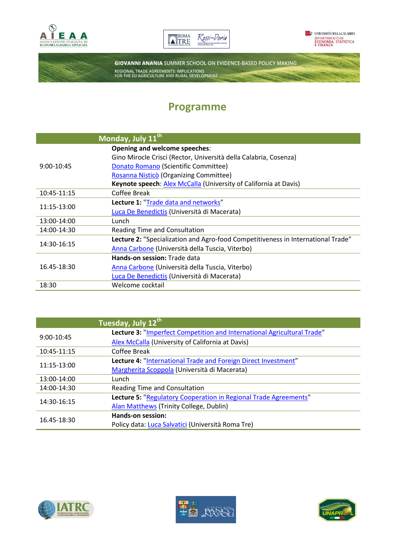





**GIOVANNI ANANIA SUMMER SCHOOL ON EVIDENCE-BASED POLICY MAKING** REGIONAL TRADE AGREEMENTS: IMPLICATIONS<br>FOR THE EU AGRICULTURE AND RURAL DEVELOPMENT

## **Programme**

|              | Monday, July 11th                                                                |
|--------------|----------------------------------------------------------------------------------|
|              | Opening and welcome speeches:                                                    |
|              | Gino Mirocle Crisci (Rector, Università della Calabria, Cosenza)                 |
| $9:00-10:45$ | Donato Romano (Scientific Committee)                                             |
|              | Rosanna Nisticò (Organizing Committee)                                           |
|              | Keynote speech: Alex McCalla (University of California at Davis)                 |
| 10:45-11:15  | Coffee Break                                                                     |
| 11:15-13:00  | Lecture 1: "Trade data and networks"                                             |
|              | Luca De Benedictis (Università di Macerata)                                      |
| 13:00-14:00  | Lunch                                                                            |
| 14:00-14:30  | Reading Time and Consultation                                                    |
| 14:30-16:15  | Lecture 2: "Specialization and Agro-food Competitiveness in International Trade" |
|              | Anna Carbone (Università della Tuscia, Viterbo)                                  |
|              | Hands-on session: Trade data                                                     |
| 16.45-18:30  | Anna Carbone (Università della Tuscia, Viterbo)                                  |
|              | Luca De Benedictis (Università di Macerata)                                      |
| 18:30        | Welcome cocktail                                                                 |
|              |                                                                                  |

|              | Tuesday, July 12th                                                      |
|--------------|-------------------------------------------------------------------------|
| $9:00-10:45$ | Lecture 3: "Imperfect Competition and International Agricultural Trade" |
|              | Alex McCalla (University of California at Davis)                        |
| 10:45-11:15  | <b>Coffee Break</b>                                                     |
| 11:15-13:00  | Lecture 4: "International Trade and Foreign Direct Investment"          |
|              | Margherita Scoppola (Università di Macerata)                            |
| 13:00-14:00  | Lunch                                                                   |
| 14:00-14:30  | Reading Time and Consultation                                           |
| 14:30-16:15  | Lecture 5: "Regulatory Cooperation in Regional Trade Agreements"        |
|              | Alan Matthews (Trinity College, Dublin)                                 |
| 16.45-18:30  | Hands-on session:                                                       |
|              | Policy data: Luca Salvatici (Università Roma Tre)                       |